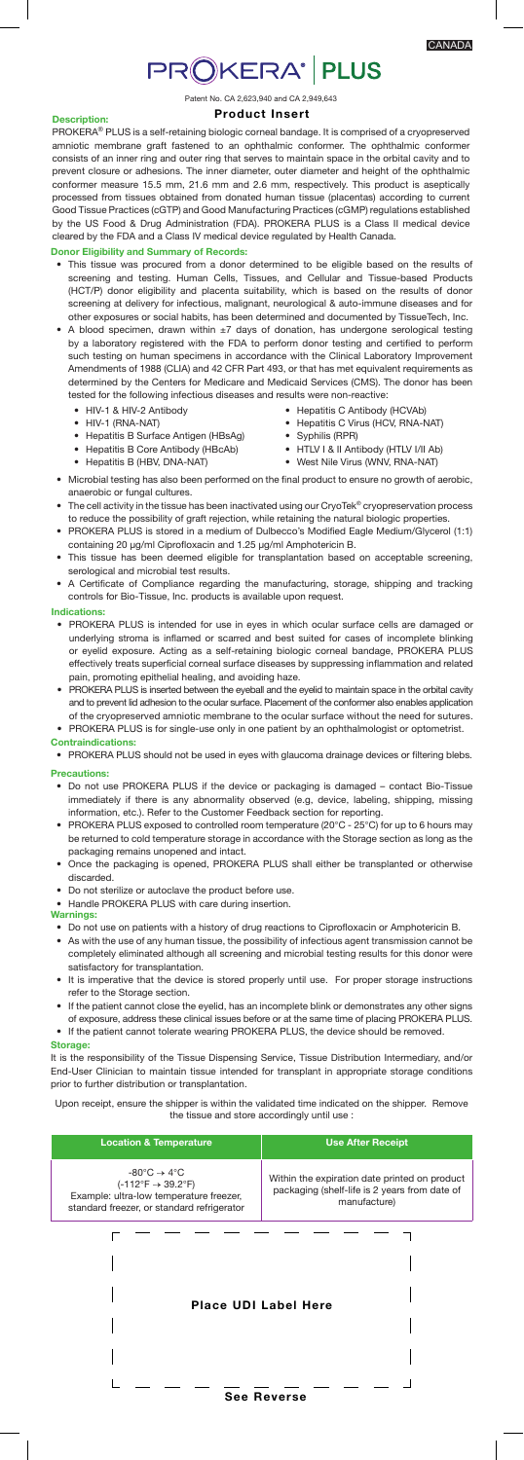# **PROKERA<sup>®</sup> PLUS**

Patent No. CA 2,623,940 and CA 2,949,643 Product Insert

## Description:

PROKERA® PLUS is a self-retaining biologic corneal bandage. It is comprised of a cryopreserved amniotic membrane graft fastened to an ophthalmic conformer. The ophthalmic conformer consists of an inner ring and outer ring that serves to maintain space in the orbital cavity and to prevent closure or adhesions. The inner diameter, outer diameter and height of the ophthalmic conformer measure 15.5 mm, 21.6 mm and 2.6 mm, respectively. This product is aseptically processed from tissues obtained from donated human tissue (placentas) according to current Good Tissue Practices (cGTP) and Good Manufacturing Practices (cGMP) regulations established by the US Food & Drug Administration (FDA). PROKERA PLUS is a Class II medical device cleared by the FDA and a Class IV medical device regulated by Health Canada.

# Donor Eligibility and Summary of Records:

- This tissue was procured from a donor determined to be eligible based on the results of screening and testing. Human Cells, Tissues, and Cellular and Tissue-based Products (HCT/P) donor eligibility and placenta suitability, which is based on the results of donor screening at delivery for infectious, malignant, neurological & auto-immune diseases and for other exposures or social habits, has been determined and documented by TissueTech, Inc.
- A blood specimen, drawn within ±7 days of donation, has undergone serological testing by a laboratory registered with the FDA to perform donor testing and certified to perform such testing on human specimens in accordance with the Clinical Laboratory Improvement Amendments of 1988 (CLIA) and 42 CFR Part 493, or that has met equivalent requirements as determined by the Centers for Medicare and Medicaid Services (CMS). The donor has been tested for the following infectious diseases and results were non-reactive:
	- HIV-1 & HIV-2 Antibody
	- HIV-1 (RNA-NAT)
	- Hepatitis B Surface Antigen (HBsAg) • Hepatitis B Core Antibody (HBcAb)
- Hepatitis C Antibody (HCVAb)
- Hepatitis C Virus (HCV, RNA-NAT)
- Syphilis (RPR)
- HTLV I & II Antibody (HTLV I/II Ab)
- Hepatitis B (HBV, DNA-NAT) • West Nile Virus (WNV, RNA-NAT) • Microbial testing has also been performed on the final product to ensure no growth of aerobic,
- anaerobic or fungal cultures. • The cell activity in the tissue has been inactivated using our CryoTek® cryopreservation process to reduce the possibility of graft rejection, while retaining the natural biologic properties.
- PROKERA PLUS is stored in a medium of Dulbecco's Modified Eagle Medium/Glycerol (1:1) containing 20 µg/ml Ciprofloxacin and 1.25 µg/ml Amphotericin B.
- This tissue has been deemed eligible for transplantation based on acceptable screening, serological and microbial test results.
- A Certificate of Compliance regarding the manufacturing, storage, shipping and tracking controls for Bio-Tissue, Inc. products is available upon request.

## Indications:

- PROKERA PLUS is intended for use in eyes in which ocular surface cells are damaged or underlying stroma is inflamed or scarred and best suited for cases of incomplete blinking or eyelid exposure. Acting as a self-retaining biologic corneal bandage, PROKERA PLUS effectively treats superficial corneal surface diseases by suppressing inflammation and related pain, promoting epithelial healing, and avoiding haze.
- PROKERA PLUS is inserted between the eyeball and the eyelid to maintain space in the orbital cavity and to prevent lid adhesion to the ocular surface. Placement of the conformer also enables application of the cryopreserved amniotic membrane to the ocular surface without the need for sutures. • PROKERA PLUS is for single-use only in one patient by an ophthalmologist or optometrist.
- Contraindications: • PROKERA PLUS should not be used in eyes with glaucoma drainage devices or filtering blebs.

#### Precautions:

- Do not use PROKERA PLUS if the device or packaging is damaged contact Bio-Tissue immediately if there is any abnormality observed (e.g, device, labeling, shipping, missing information, etc.). Refer to the Customer Feedback section for reporting.
- PROKERA PLUS exposed to controlled room temperature (20°C 25°C) for up to 6 hours may be returned to cold temperature storage in accordance with the Storage section as long as the packaging remains unopened and intact.
- Once the packaging is opened, PROKERA PLUS shall either be transplanted or otherwise discarded.
- Do not sterilize or autoclave the product before use.

## • Handle PROKERA PLUS with care during insertion.

# Warnings:

- Do not use on patients with a history of drug reactions to Ciprofloxacin or Amphotericin B.
- As with the use of any human tissue, the possibility of infectious agent transmission cannot be completely eliminated although all screening and microbial testing results for this donor were satisfactory for transplantation.
- It is imperative that the device is stored properly until use. For proper storage instructions refer to the Storage section.
- If the patient cannot close the eyelid, has an incomplete blink or demonstrates any other signs of exposure, address these clinical issues before or at the same time of placing PROKERA PLUS.

• If the patient cannot tolerate wearing PROKERA PLUS, the device should be removed. Storage:

It is the responsibility of the Tissue Dispensing Service, Tissue Distribution Intermediary, and/or End-User Clinician to maintain tissue intended for transplant in appropriate storage conditions prior to further distribution or transplantation.

Upon receipt, ensure the shipper is within the validated time indicated on the shipper. Remove the tissue and store accordingly until use :

| <b>Location &amp; Temperature</b>                                                                                                                                                 | <b>Use After Receipt</b>                                                                                       |
|-----------------------------------------------------------------------------------------------------------------------------------------------------------------------------------|----------------------------------------------------------------------------------------------------------------|
| $-80^{\circ}$ C $\rightarrow 4^{\circ}$ C<br>$(-112^{\circ}F \rightarrow 39.2^{\circ}F)$<br>Example: ultra-low temperature freezer,<br>standard freezer, or standard refrigerator | Within the expiration date printed on product<br>packaging (shelf-life is 2 years from date of<br>manufacture) |
|                                                                                                                                                                                   |                                                                                                                |

# Place UDI Label Here